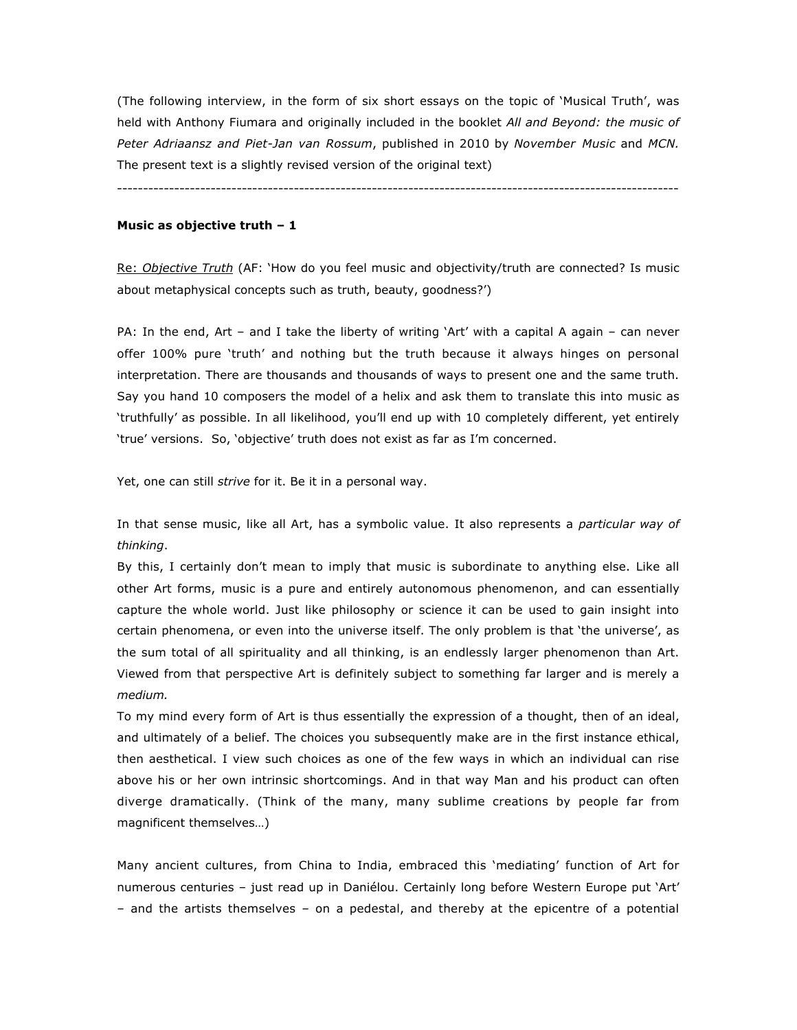(The following interview, in the form of six short essays on the topic of 'Musical Truth', was held with Anthony Fiumara and originally included in the booklet *All and Beyond: the music of Peter Adriaansz and Piet-Jan van Rossum*, published in 2010 by *November Music* and *MCN.* The present text is a slightly revised version of the original text)

------------------------------------------------------------------------------------------------------------

## **Music as objective truth – 1**

Re: *Objective Truth* (AF: 'How do you feel music and objectivity/truth are connected? Is music about metaphysical concepts such as truth, beauty, goodness?')

PA: In the end, Art – and I take the liberty of writing 'Art' with a capital A again – can never offer 100% pure 'truth' and nothing but the truth because it always hinges on personal interpretation. There are thousands and thousands of ways to present one and the same truth. Say you hand 10 composers the model of a helix and ask them to translate this into music as 'truthfully' as possible. In all likelihood, you'll end up with 10 completely different, yet entirely 'true' versions. So, 'objective' truth does not exist as far as I'm concerned.

Yet, one can still *strive* for it. Be it in a personal way.

In that sense music, like all Art, has a symbolic value. It also represents a *particular way of thinking*.

By this, I certainly don't mean to imply that music is subordinate to anything else. Like all other Art forms, music is a pure and entirely autonomous phenomenon, and can essentially capture the whole world. Just like philosophy or science it can be used to gain insight into certain phenomena, or even into the universe itself. The only problem is that 'the universe', as the sum total of all spirituality and all thinking, is an endlessly larger phenomenon than Art. Viewed from that perspective Art is definitely subject to something far larger and is merely a *medium.*

To my mind every form of Art is thus essentially the expression of a thought, then of an ideal, and ultimately of a belief. The choices you subsequently make are in the first instance ethical, then aesthetical. I view such choices as one of the few ways in which an individual can rise above his or her own intrinsic shortcomings. And in that way Man and his product can often diverge dramatically. (Think of the many, many sublime creations by people far from magnificent themselves…)

Many ancient cultures, from China to India, embraced this 'mediating' function of Art for numerous centuries – just read up in Daniélou. Certainly long before Western Europe put 'Art' – and the artists themselves – on a pedestal, and thereby at the epicentre of a potential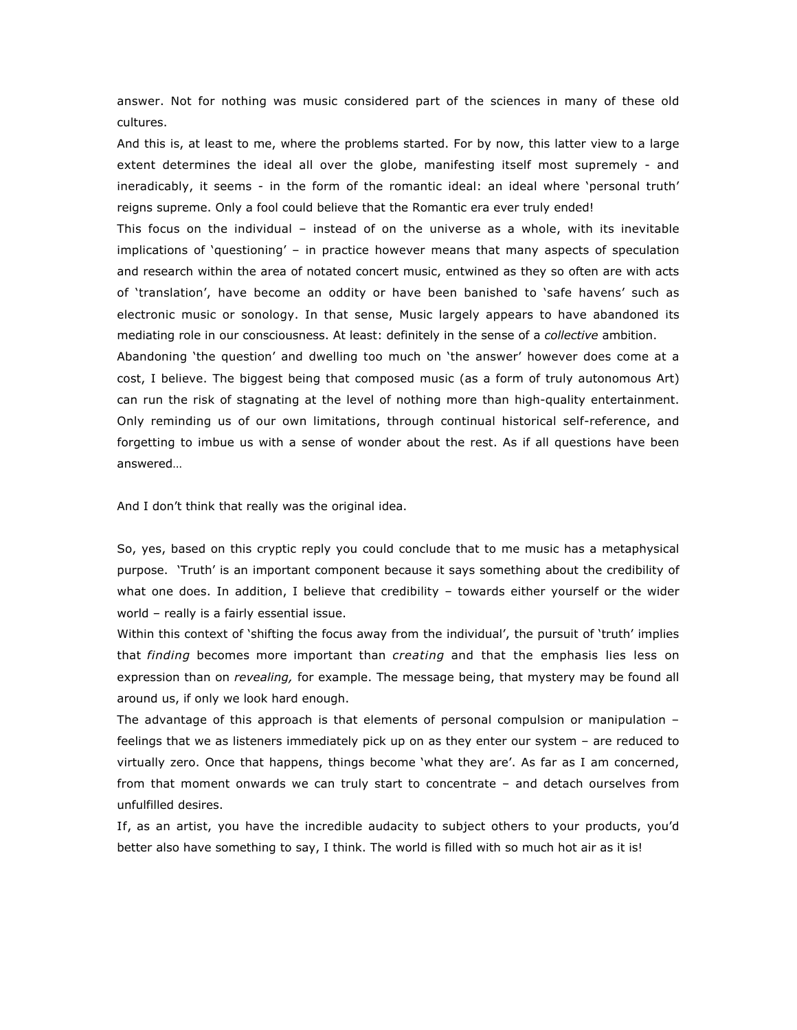answer. Not for nothing was music considered part of the sciences in many of these old cultures.

And this is, at least to me, where the problems started. For by now, this latter view to a large extent determines the ideal all over the globe, manifesting itself most supremely - and ineradicably, it seems - in the form of the romantic ideal: an ideal where 'personal truth' reigns supreme. Only a fool could believe that the Romantic era ever truly ended!

This focus on the individual – instead of on the universe as a whole, with its inevitable implications of 'questioning' – in practice however means that many aspects of speculation and research within the area of notated concert music, entwined as they so often are with acts of 'translation', have become an oddity or have been banished to 'safe havens' such as electronic music or sonology. In that sense, Music largely appears to have abandoned its mediating role in our consciousness. At least: definitely in the sense of a *collective* ambition.

Abandoning 'the question' and dwelling too much on 'the answer' however does come at a cost, I believe. The biggest being that composed music (as a form of truly autonomous Art) can run the risk of stagnating at the level of nothing more than high-quality entertainment. Only reminding us of our own limitations, through continual historical self-reference, and forgetting to imbue us with a sense of wonder about the rest. As if all questions have been answered…

And I don't think that really was the original idea.

So, yes, based on this cryptic reply you could conclude that to me music has a metaphysical purpose. 'Truth' is an important component because it says something about the credibility of what one does. In addition, I believe that credibility – towards either yourself or the wider world – really is a fairly essential issue.

Within this context of 'shifting the focus away from the individual', the pursuit of 'truth' implies that *finding* becomes more important than *creating* and that the emphasis lies less on expression than on *revealing,* for example. The message being, that mystery may be found all around us, if only we look hard enough.

The advantage of this approach is that elements of personal compulsion or manipulation – feelings that we as listeners immediately pick up on as they enter our system – are reduced to virtually zero. Once that happens, things become 'what they are'. As far as I am concerned, from that moment onwards we can truly start to concentrate – and detach ourselves from unfulfilled desires.

If, as an artist, you have the incredible audacity to subject others to your products, you'd better also have something to say, I think. The world is filled with so much hot air as it is!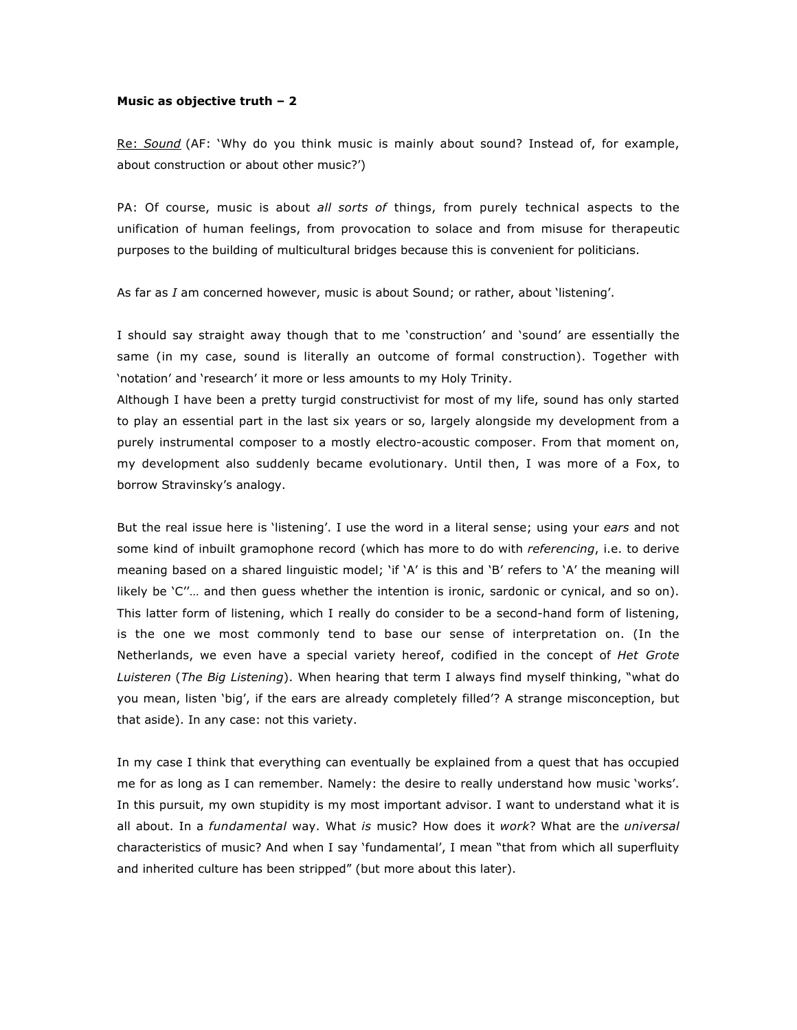#### **Music as objective truth – 2**

Re: *Sound* (AF: 'Why do you think music is mainly about sound? Instead of, for example, about construction or about other music?')

PA: Of course, music is about *all sorts of* things, from purely technical aspects to the unification of human feelings, from provocation to solace and from misuse for therapeutic purposes to the building of multicultural bridges because this is convenient for politicians.

As far as *I* am concerned however, music is about Sound; or rather, about 'listening'.

I should say straight away though that to me 'construction' and 'sound' are essentially the same (in my case, sound is literally an outcome of formal construction). Together with 'notation' and 'research' it more or less amounts to my Holy Trinity.

Although I have been a pretty turgid constructivist for most of my life, sound has only started to play an essential part in the last six years or so, largely alongside my development from a purely instrumental composer to a mostly electro-acoustic composer. From that moment on, my development also suddenly became evolutionary. Until then, I was more of a Fox, to borrow Stravinsky's analogy.

But the real issue here is 'listening'. I use the word in a literal sense; using your *ears* and not some kind of inbuilt gramophone record (which has more to do with *referencing*, i.e. to derive meaning based on a shared linguistic model; 'if 'A' is this and 'B' refers to 'A' the meaning will likely be 'C''… and then guess whether the intention is ironic, sardonic or cynical, and so on). This latter form of listening, which I really do consider to be a second-hand form of listening, is the one we most commonly tend to base our sense of interpretation on. (In the Netherlands, we even have a special variety hereof, codified in the concept of *Het Grote Luisteren* (*The Big Listening*). When hearing that term I always find myself thinking, "what do you mean, listen 'big', if the ears are already completely filled'? A strange misconception, but that aside). In any case: not this variety.

In my case I think that everything can eventually be explained from a quest that has occupied me for as long as I can remember. Namely: the desire to really understand how music 'works'. In this pursuit, my own stupidity is my most important advisor. I want to understand what it is all about. In a *fundamental* way. What *is* music? How does it *work*? What are the *universal* characteristics of music? And when I say 'fundamental', I mean "that from which all superfluity and inherited culture has been stripped" (but more about this later).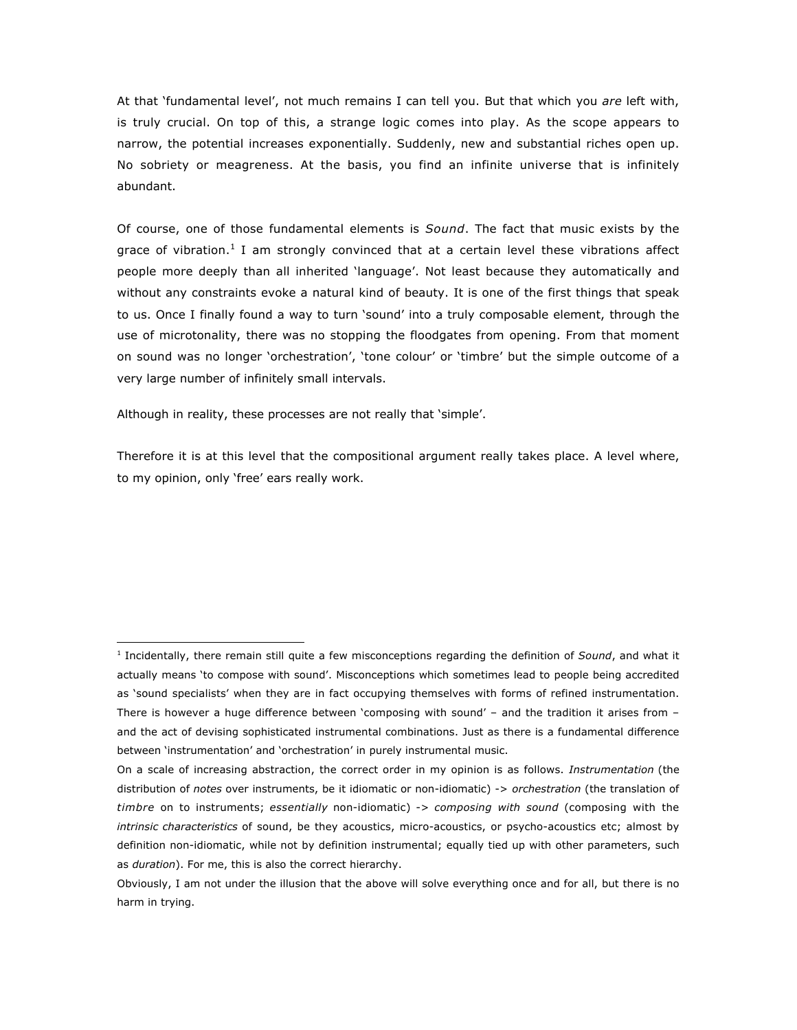At that 'fundamental level', not much remains I can tell you. But that which you *are* left with, is truly crucial. On top of this, a strange logic comes into play. As the scope appears to narrow, the potential increases exponentially. Suddenly, new and substantial riches open up. No sobriety or meagreness. At the basis, you find an infinite universe that is infinitely abundant.

Of course, one of those fundamental elements is *Sound*. The fact that music exists by the grace of vibration.<sup>1</sup> I am strongly convinced that at a certain level these vibrations affect people more deeply than all inherited 'language'. Not least because they automatically and without any constraints evoke a natural kind of beauty. It is one of the first things that speak to us. Once I finally found a way to turn 'sound' into a truly composable element, through the use of microtonality, there was no stopping the floodgates from opening. From that moment on sound was no longer 'orchestration', 'tone colour' or 'timbre' but the simple outcome of a very large number of infinitely small intervals.

Although in reality, these processes are not really that 'simple'.

 $\overline{a}$ 

Therefore it is at this level that the compositional argument really takes place. A level where, to my opinion, only 'free' ears really work.

<sup>1</sup> Incidentally, there remain still quite a few misconceptions regarding the definition of *Sound*, and what it actually means 'to compose with sound'. Misconceptions which sometimes lead to people being accredited as 'sound specialists' when they are in fact occupying themselves with forms of refined instrumentation. There is however a huge difference between 'composing with sound' – and the tradition it arises from – and the act of devising sophisticated instrumental combinations. Just as there is a fundamental difference between 'instrumentation' and 'orchestration' in purely instrumental music.

On a scale of increasing abstraction, the correct order in my opinion is as follows. *Instrumentation* (the distribution of *notes* over instruments, be it idiomatic or non-idiomatic) -> *orchestration* (the translation of *timbre* on to instruments; *essentially* non-idiomatic) -> *composing with sound* (composing with the *intrinsic characteristics* of sound, be they acoustics, micro-acoustics, or psycho-acoustics etc; almost by definition non-idiomatic, while not by definition instrumental; equally tied up with other parameters, such as *duration*). For me, this is also the correct hierarchy.

Obviously, I am not under the illusion that the above will solve everything once and for all, but there is no harm in trying.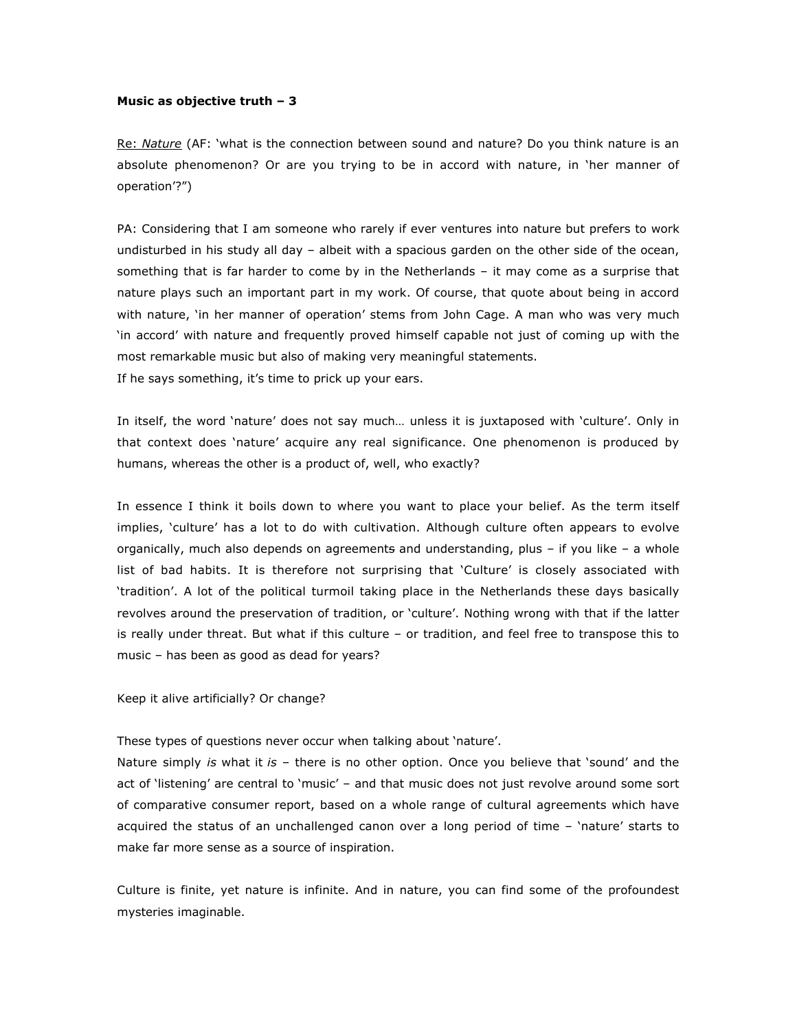### **Music as objective truth – 3**

Re: *Nature* (AF: 'what is the connection between sound and nature? Do you think nature is an absolute phenomenon? Or are you trying to be in accord with nature, in 'her manner of operation'?")

PA: Considering that I am someone who rarely if ever ventures into nature but prefers to work undisturbed in his study all day – albeit with a spacious garden on the other side of the ocean, something that is far harder to come by in the Netherlands – it may come as a surprise that nature plays such an important part in my work. Of course, that quote about being in accord with nature, 'in her manner of operation' stems from John Cage. A man who was very much 'in accord' with nature and frequently proved himself capable not just of coming up with the most remarkable music but also of making very meaningful statements. If he says something, it's time to prick up your ears.

In itself, the word 'nature' does not say much… unless it is juxtaposed with 'culture'. Only in that context does 'nature' acquire any real significance. One phenomenon is produced by humans, whereas the other is a product of, well, who exactly?

In essence I think it boils down to where you want to place your belief. As the term itself implies, 'culture' has a lot to do with cultivation. Although culture often appears to evolve organically, much also depends on agreements and understanding, plus – if you like – a whole list of bad habits. It is therefore not surprising that 'Culture' is closely associated with 'tradition'. A lot of the political turmoil taking place in the Netherlands these days basically revolves around the preservation of tradition, or 'culture'. Nothing wrong with that if the latter is really under threat. But what if this culture – or tradition, and feel free to transpose this to music – has been as good as dead for years?

Keep it alive artificially? Or change?

These types of questions never occur when talking about 'nature'.

Nature simply *is* what it *is* – there is no other option. Once you believe that 'sound' and the act of 'listening' are central to 'music' – and that music does not just revolve around some sort of comparative consumer report, based on a whole range of cultural agreements which have acquired the status of an unchallenged canon over a long period of time – 'nature' starts to make far more sense as a source of inspiration.

Culture is finite, yet nature is infinite. And in nature, you can find some of the profoundest mysteries imaginable.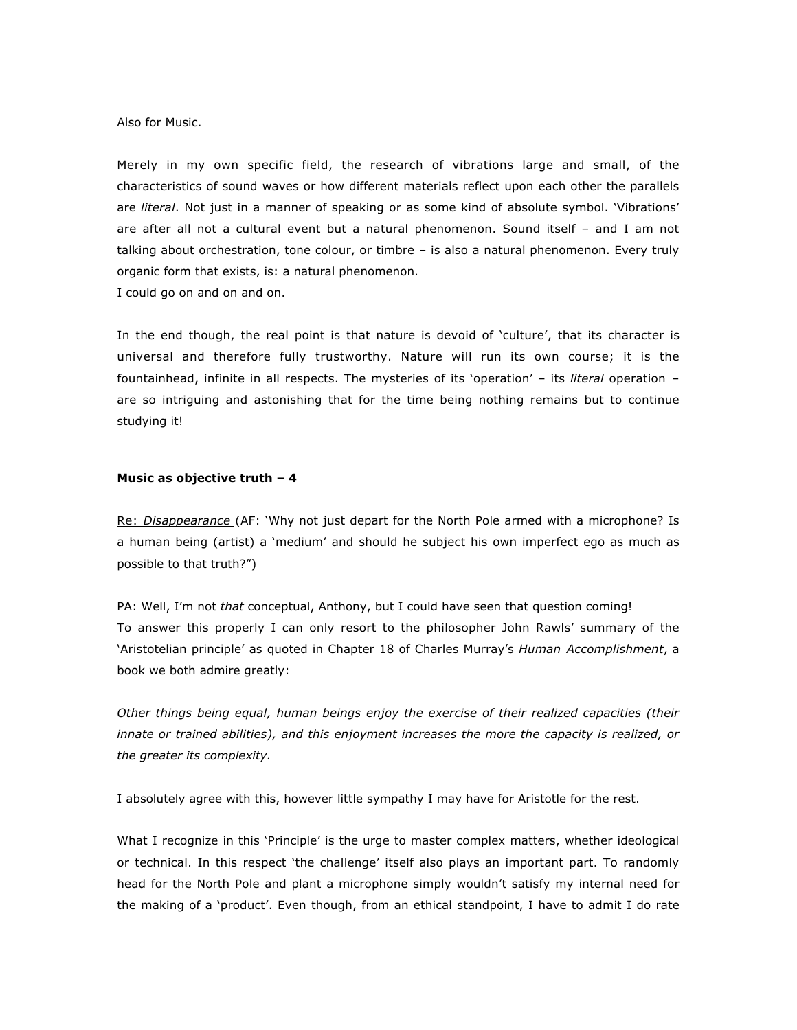### Also for Music.

Merely in my own specific field, the research of vibrations large and small, of the characteristics of sound waves or how different materials reflect upon each other the parallels are *literal*. Not just in a manner of speaking or as some kind of absolute symbol. 'Vibrations' are after all not a cultural event but a natural phenomenon. Sound itself – and I am not talking about orchestration, tone colour, or timbre – is also a natural phenomenon. Every truly organic form that exists, is: a natural phenomenon.

I could go on and on and on.

In the end though, the real point is that nature is devoid of 'culture', that its character is universal and therefore fully trustworthy. Nature will run its own course; it is the fountainhead, infinite in all respects. The mysteries of its 'operation' – its *literal* operation – are so intriguing and astonishing that for the time being nothing remains but to continue studying it!

# **Music as objective truth – 4**

Re: *Disappearance* (AF: 'Why not just depart for the North Pole armed with a microphone? Is a human being (artist) a 'medium' and should he subject his own imperfect ego as much as possible to that truth?")

PA: Well, I'm not *that* conceptual, Anthony, but I could have seen that question coming! To answer this properly I can only resort to the philosopher John Rawls' summary of the 'Aristotelian principle' as quoted in Chapter 18 of Charles Murray's *Human Accomplishment*, a book we both admire greatly:

*Other things being equal, human beings enjoy the exercise of their realized capacities (their innate or trained abilities), and this enjoyment increases the more the capacity is realized, or the greater its complexity.*

I absolutely agree with this, however little sympathy I may have for Aristotle for the rest.

What I recognize in this 'Principle' is the urge to master complex matters, whether ideological or technical. In this respect 'the challenge' itself also plays an important part. To randomly head for the North Pole and plant a microphone simply wouldn't satisfy my internal need for the making of a 'product'. Even though, from an ethical standpoint, I have to admit I do rate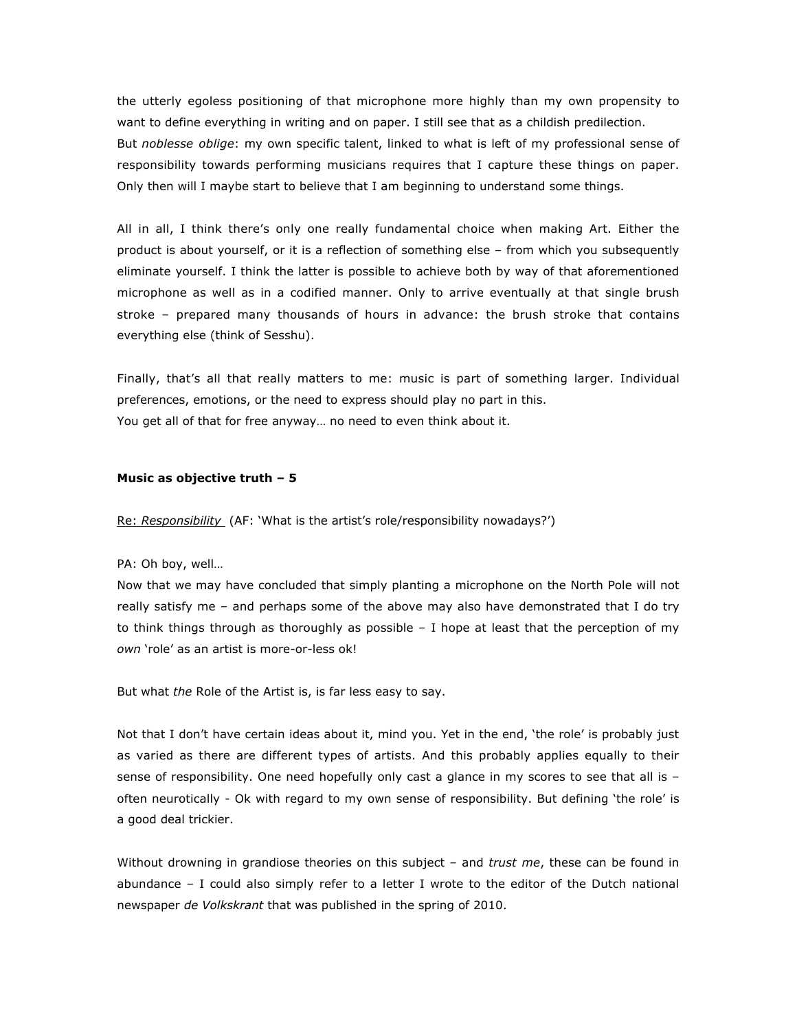the utterly egoless positioning of that microphone more highly than my own propensity to want to define everything in writing and on paper. I still see that as a childish predilection. But *noblesse oblige*: my own specific talent, linked to what is left of my professional sense of responsibility towards performing musicians requires that I capture these things on paper. Only then will I maybe start to believe that I am beginning to understand some things.

All in all, I think there's only one really fundamental choice when making Art. Either the product is about yourself, or it is a reflection of something else – from which you subsequently eliminate yourself. I think the latter is possible to achieve both by way of that aforementioned microphone as well as in a codified manner. Only to arrive eventually at that single brush stroke – prepared many thousands of hours in advance: the brush stroke that contains everything else (think of Sesshu).

Finally, that's all that really matters to me: music is part of something larger. Individual preferences, emotions, or the need to express should play no part in this. You get all of that for free anyway… no need to even think about it.

### **Music as objective truth – 5**

Re: *Responsibility* (AF: 'What is the artist's role/responsibility nowadays?')

PA: Oh boy, well…

Now that we may have concluded that simply planting a microphone on the North Pole will not really satisfy me – and perhaps some of the above may also have demonstrated that I do try to think things through as thoroughly as possible – I hope at least that the perception of my *own* 'role' as an artist is more-or-less ok!

But what *the* Role of the Artist is, is far less easy to say.

Not that I don't have certain ideas about it, mind you. Yet in the end, 'the role' is probably just as varied as there are different types of artists. And this probably applies equally to their sense of responsibility. One need hopefully only cast a glance in my scores to see that all is often neurotically - Ok with regard to my own sense of responsibility. But defining 'the role' is a good deal trickier.

Without drowning in grandiose theories on this subject – and *trust me*, these can be found in abundance – I could also simply refer to a letter I wrote to the editor of the Dutch national newspaper *de Volkskrant* that was published in the spring of 2010.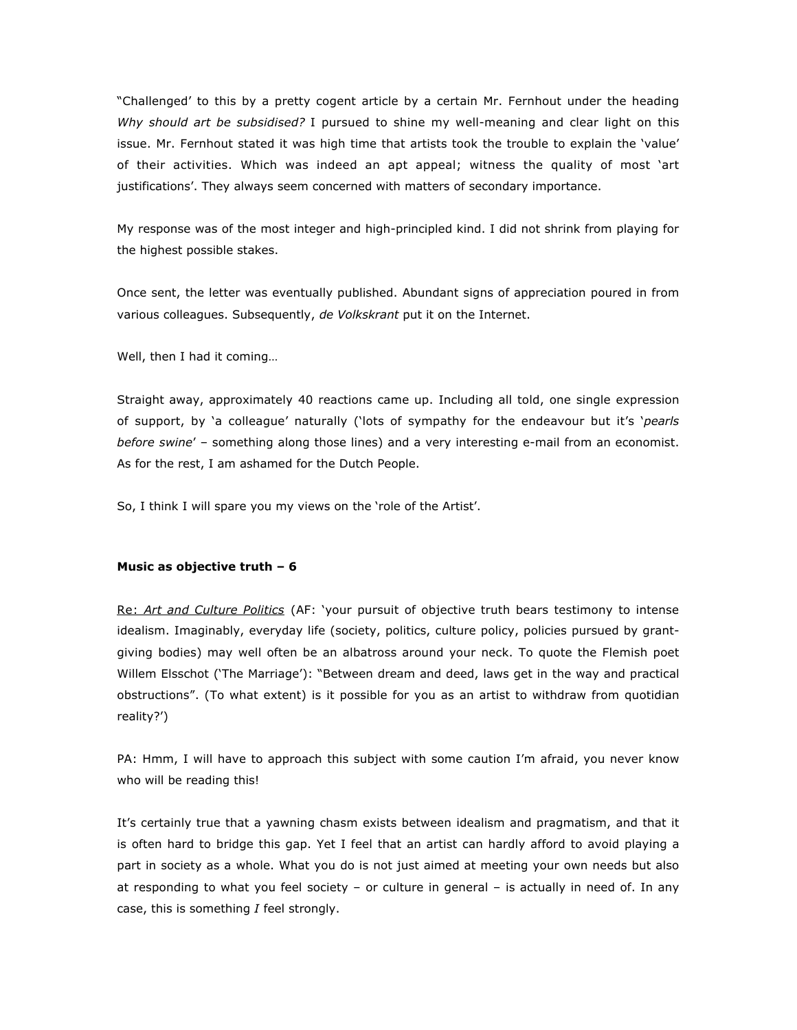"Challenged' to this by a pretty cogent article by a certain Mr. Fernhout under the heading *Why should art be subsidised?* I pursued to shine my well-meaning and clear light on this issue. Mr. Fernhout stated it was high time that artists took the trouble to explain the 'value' of their activities. Which was indeed an apt appeal; witness the quality of most 'art justifications'. They always seem concerned with matters of secondary importance.

My response was of the most integer and high-principled kind. I did not shrink from playing for the highest possible stakes.

Once sent, the letter was eventually published. Abundant signs of appreciation poured in from various colleagues. Subsequently, *de Volkskrant* put it on the Internet.

Well, then I had it coming…

Straight away, approximately 40 reactions came up. Including all told, one single expression of support, by 'a colleague' naturally ('lots of sympathy for the endeavour but it's '*pearls before swine*' – something along those lines) and a very interesting e-mail from an economist. As for the rest, I am ashamed for the Dutch People.

So, I think I will spare you my views on the 'role of the Artist'.

## **Music as objective truth – 6**

Re: *Art and Culture Politics* (AF: 'your pursuit of objective truth bears testimony to intense idealism. Imaginably, everyday life (society, politics, culture policy, policies pursued by grantgiving bodies) may well often be an albatross around your neck. To quote the Flemish poet Willem Elsschot ('The Marriage'): "Between dream and deed, laws get in the way and practical obstructions". (To what extent) is it possible for you as an artist to withdraw from quotidian reality?')

PA: Hmm, I will have to approach this subject with some caution I'm afraid, you never know who will be reading this!

It's certainly true that a yawning chasm exists between idealism and pragmatism, and that it is often hard to bridge this gap. Yet I feel that an artist can hardly afford to avoid playing a part in society as a whole. What you do is not just aimed at meeting your own needs but also at responding to what you feel society – or culture in general – is actually in need of. In any case, this is something *I* feel strongly.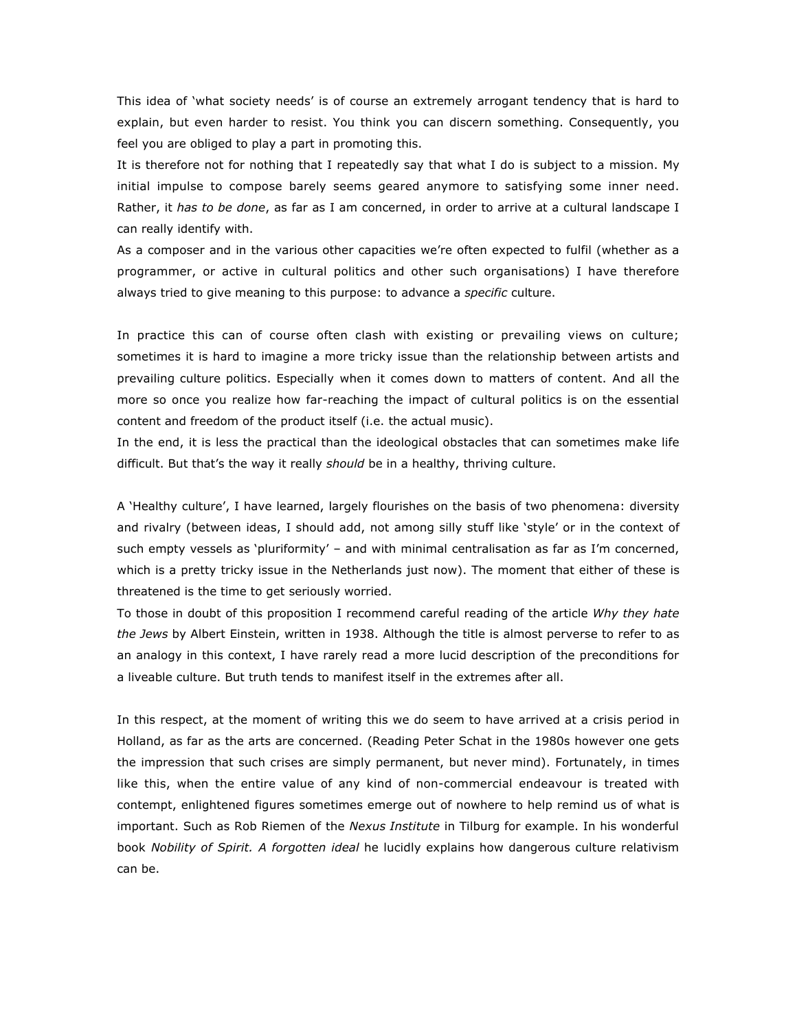This idea of 'what society needs' is of course an extremely arrogant tendency that is hard to explain, but even harder to resist. You think you can discern something. Consequently, you feel you are obliged to play a part in promoting this.

It is therefore not for nothing that I repeatedly say that what I do is subject to a mission. My initial impulse to compose barely seems geared anymore to satisfying some inner need. Rather, it *has to be done*, as far as I am concerned, in order to arrive at a cultural landscape I can really identify with.

As a composer and in the various other capacities we're often expected to fulfil (whether as a programmer, or active in cultural politics and other such organisations) I have therefore always tried to give meaning to this purpose: to advance a *specific* culture.

In practice this can of course often clash with existing or prevailing views on culture; sometimes it is hard to imagine a more tricky issue than the relationship between artists and prevailing culture politics. Especially when it comes down to matters of content. And all the more so once you realize how far-reaching the impact of cultural politics is on the essential content and freedom of the product itself (i.e. the actual music).

In the end, it is less the practical than the ideological obstacles that can sometimes make life difficult. But that's the way it really *should* be in a healthy, thriving culture.

A 'Healthy culture', I have learned, largely flourishes on the basis of two phenomena: diversity and rivalry (between ideas, I should add, not among silly stuff like 'style' or in the context of such empty vessels as 'pluriformity' – and with minimal centralisation as far as I'm concerned, which is a pretty tricky issue in the Netherlands just now). The moment that either of these is threatened is the time to get seriously worried.

To those in doubt of this proposition I recommend careful reading of the article *Why they hate the Jews* by Albert Einstein, written in 1938. Although the title is almost perverse to refer to as an analogy in this context, I have rarely read a more lucid description of the preconditions for a liveable culture. But truth tends to manifest itself in the extremes after all.

In this respect, at the moment of writing this we do seem to have arrived at a crisis period in Holland, as far as the arts are concerned. (Reading Peter Schat in the 1980s however one gets the impression that such crises are simply permanent, but never mind). Fortunately, in times like this, when the entire value of any kind of non-commercial endeavour is treated with contempt, enlightened figures sometimes emerge out of nowhere to help remind us of what is important. Such as Rob Riemen of the *Nexus Institute* in Tilburg for example. In his wonderful book *Nobility of Spirit. A forgotten ideal* he lucidly explains how dangerous culture relativism can be.